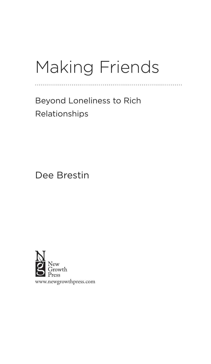## Making Friends

. . . . . . . . . . ..

Beyond Loneliness to Rich Relationships

Dee Brestin

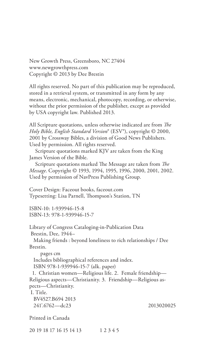New Growth Press, Greensboro, NC 27404 www.newgrowthpress.com Copyright © 2013 by Dee Brestin

All rights reserved. No part of this publication may be reproduced, stored in a retrieval system, or transmitted in any form by any means, electronic, mechanical, photocopy, recording, or otherwise, without the prior permission of the publisher, except as provided by USA copyright law. Published 2013.

All Scripture quotations, unless otherwise indicated are from *The Holy Bible, English Standard Version*® (ESV®), copyright © 2000, 2001 by Crossway Bibles, a division of Good News Publishers. Used by permission. All rights reserved.

Scripture quotations marked KJV are taken from the King James Version of the Bible.

Scripture quotations marked The Message are taken from *The Message*. Copyright © 1993, 1994, 1995, 1996, 2000, 2001, 2002. Used by permission of NavPress Publishing Group.

Cover Design: Faceout books, faceout.com Typesetting: Lisa Parnell, Thompson's Station, TN

ISBN-10: 1-939946-15-8 ISBN-13: 978-1-939946-15-7

Library of Congress Cataloging-in-Publication Data Brestin, Dee, 1944–

 Making friends : beyond loneliness to rich relationships / Dee Brestin.

 pages cm Includes bibliographical references and index. ISBN 978-1-939946-15-7 (alk. paper)

 1. Christian women—Religious life. 2. Female friendship— Religious aspects—Christianity. 3. Friendship—Religious aspects—Christianity.

I. Title.

 BV4527.B694 2013 241'.6762—dc23 2013020025

Printed in Canada

20 19 18 17 16 15 14 13 1 2 3 4 5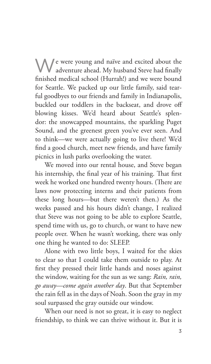N / e were young and naïve and excited about the adventure ahead. My husband Steve had finally finished medical school (Hurrah!) and we were bound for Seattle. We packed up our little family, said tearful goodbyes to our friends and family in Indianapolis, buckled our toddlers in the backseat, and drove off blowing kisses. We'd heard about Seattle's splendor: the snowcapped mountains, the sparkling Puget Sound, and the greenest green you've ever seen. And to think—we were actually going to live there! We'd find a good church, meet new friends, and have family picnics in lush parks overlooking the water.

We moved into our rental house, and Steve began his internship, the final year of his training. That first week he worked one hundred twenty hours. (There are laws now protecting interns and their patients from these long hours—but there weren't then.) As the weeks passed and his hours didn't change, I realized that Steve was not going to be able to explore Seattle, spend time with us, go to church, or want to have new people over. When he wasn't working, there was only one thing he wanted to do: SLEEP.

Alone with two little boys, I waited for the skies to clear so that I could take them outside to play. At first they pressed their little hands and noses against the window, waiting for the sun as we sang: *Rain, rain, go away—come again another day*. But that September the rain fell as in the days of Noah. Soon the gray in my soul surpassed the gray outside our window.

When our need is not so great, it is easy to neglect friendship, to think we can thrive without it. But it is